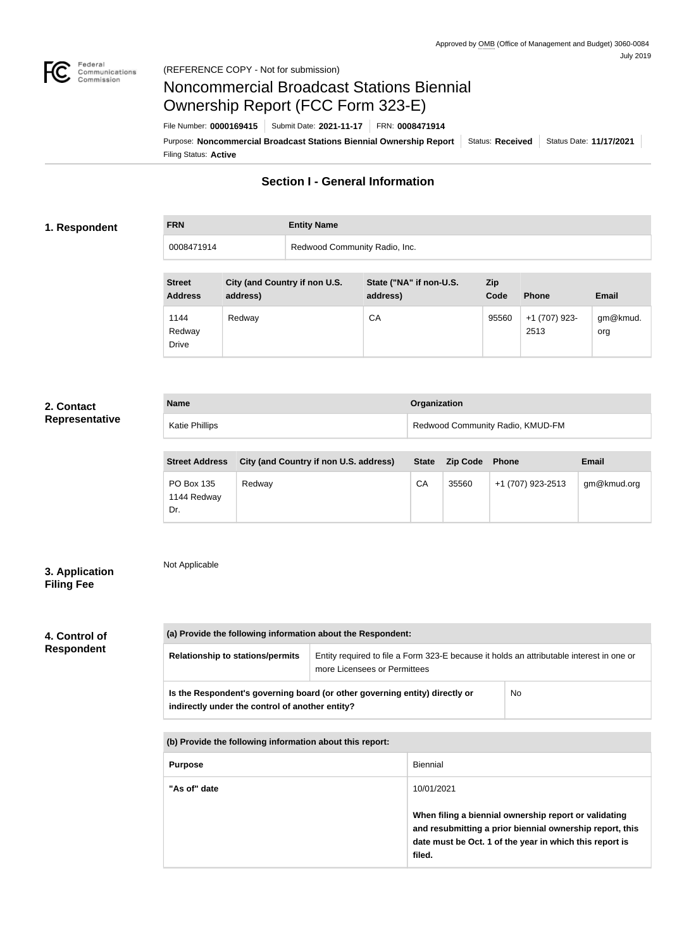

# Noncommercial Broadcast Stations Biennial Ownership Report (FCC Form 323-E)

Filing Status: **Active** Purpose: Noncommercial Broadcast Stations Biennial Ownership Report | Status: Received | Status Date: 11/17/2021 File Number: **0000169415** Submit Date: **2021-11-17** FRN: **0008471914**

# **Section I - General Information**

#### **1. Respondent**

**FRN Entity Name** 0008471914 Redwood Community Radio, Inc.

| <b>Street</b><br><b>Address</b> | City (and Country if non U.S.<br>address) | State ("NA" if non-U.S.<br>address) | Zip<br>Code | <b>Phone</b>          | <b>Email</b>    |
|---------------------------------|-------------------------------------------|-------------------------------------|-------------|-----------------------|-----------------|
| 1144<br>Redway<br><b>Drive</b>  | Redway                                    | CA                                  | 95560       | +1 (707) 923-<br>2513 | gm@kmud.<br>org |

### **2. Contact Representative**

| <b>Name</b>    | <b>Organization</b>              |
|----------------|----------------------------------|
| Katie Phillips | Redwood Community Radio, KMUD-FM |

| <b>Street Address</b>            | City (and Country if non U.S. address) | <b>State</b> | <b>Zip Code</b> | <b>Phone</b>      | <b>Email</b> |
|----------------------------------|----------------------------------------|--------------|-----------------|-------------------|--------------|
| PO Box 135<br>1144 Redway<br>Dr. | Redway                                 | CA           | 35560           | +1 (707) 923-2513 | gm@kmud.org  |

## **3. Application Filing Fee**

# Not Applicable

## **4. Control of Respondent**

| (a) Provide the following information about the Respondent:                                                                          |                                                                                                                          |  |  |  |
|--------------------------------------------------------------------------------------------------------------------------------------|--------------------------------------------------------------------------------------------------------------------------|--|--|--|
| <b>Relationship to stations/permits</b>                                                                                              | Entity required to file a Form 323-E because it holds an attributable interest in one or<br>more Licensees or Permittees |  |  |  |
| No<br>Is the Respondent's governing board (or other governing entity) directly or<br>indirectly under the control of another entity? |                                                                                                                          |  |  |  |
|                                                                                                                                      |                                                                                                                          |  |  |  |
| (b) Provide the following information about this report:                                                                             |                                                                                                                          |  |  |  |
| <b>Biennial</b><br><b>Purpose</b>                                                                                                    |                                                                                                                          |  |  |  |
| "As of" date<br>10/01/2021                                                                                                           |                                                                                                                          |  |  |  |

| When filing a biennial ownership report or validating    |
|----------------------------------------------------------|
| and resubmitting a prior biennial ownership report, this |
| date must be Oct. 1 of the year in which this report is  |
| filed.                                                   |
|                                                          |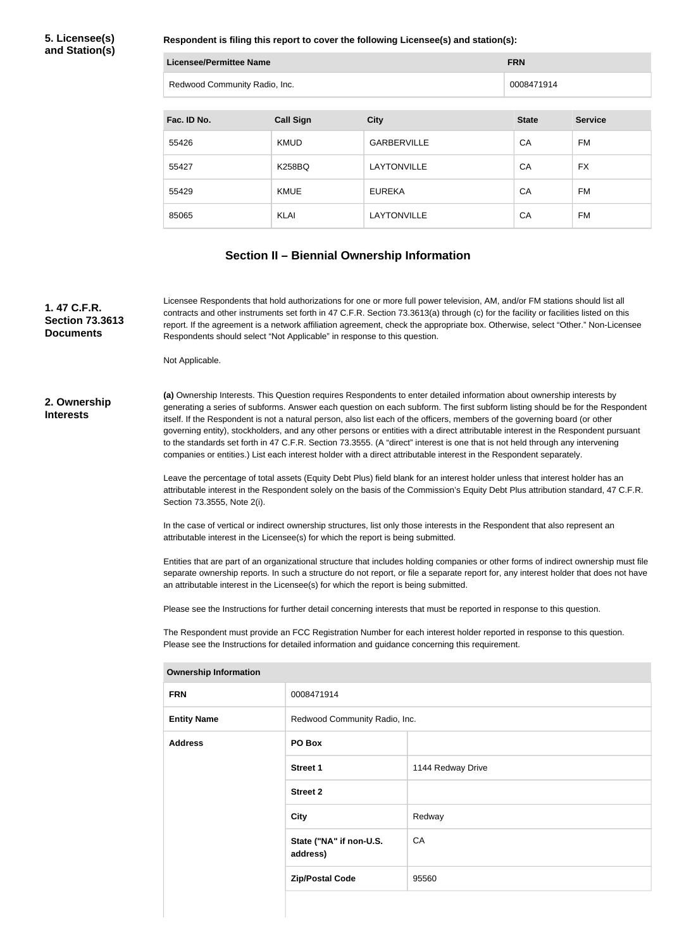**5. Licensee(s) and Station(s)**

**Respondent is filing this report to cover the following Licensee(s) and station(s):**

| Licensee/Permittee Name       | <b>FRN</b> |
|-------------------------------|------------|
| Redwood Community Radio, Inc. | 0008471914 |

| Fac. ID No. | <b>Call Sign</b> | <b>City</b>        | <b>State</b> | <b>Service</b> |
|-------------|------------------|--------------------|--------------|----------------|
| 55426       | <b>KMUD</b>      | <b>GARBERVILLE</b> | CA           | FM             |
| 55427       | <b>K258BQ</b>    | LAYTONVILLE        | CA           | <b>FX</b>      |
| 55429       | <b>KMUE</b>      | <b>EUREKA</b>      | CA           | <b>FM</b>      |
| 85065       | KLAI             | LAYTONVILLE        | CA           | FM             |

#### **Section II – Biennial Ownership Information**

**1. 47 C.F.R. Section 73.3613 Documents**

Licensee Respondents that hold authorizations for one or more full power television, AM, and/or FM stations should list all contracts and other instruments set forth in 47 C.F.R. Section 73.3613(a) through (c) for the facility or facilities listed on this report. If the agreement is a network affiliation agreement, check the appropriate box. Otherwise, select "Other." Non-Licensee Respondents should select "Not Applicable" in response to this question.

Not Applicable.

#### **2. Ownership Interests**

**(a)** Ownership Interests. This Question requires Respondents to enter detailed information about ownership interests by generating a series of subforms. Answer each question on each subform. The first subform listing should be for the Respondent itself. If the Respondent is not a natural person, also list each of the officers, members of the governing board (or other governing entity), stockholders, and any other persons or entities with a direct attributable interest in the Respondent pursuant to the standards set forth in 47 C.F.R. Section 73.3555. (A "direct" interest is one that is not held through any intervening companies or entities.) List each interest holder with a direct attributable interest in the Respondent separately.

Leave the percentage of total assets (Equity Debt Plus) field blank for an interest holder unless that interest holder has an attributable interest in the Respondent solely on the basis of the Commission's Equity Debt Plus attribution standard, 47 C.F.R. Section 73.3555, Note 2(i).

In the case of vertical or indirect ownership structures, list only those interests in the Respondent that also represent an attributable interest in the Licensee(s) for which the report is being submitted.

Entities that are part of an organizational structure that includes holding companies or other forms of indirect ownership must file separate ownership reports. In such a structure do not report, or file a separate report for, any interest holder that does not have an attributable interest in the Licensee(s) for which the report is being submitted.

Please see the Instructions for further detail concerning interests that must be reported in response to this question.

The Respondent must provide an FCC Registration Number for each interest holder reported in response to this question. Please see the Instructions for detailed information and guidance concerning this requirement.

| <b>OWNERSHIP INTOINIALION</b> |                                     |                   |  |
|-------------------------------|-------------------------------------|-------------------|--|
| <b>FRN</b>                    | 0008471914                          |                   |  |
| <b>Entity Name</b>            | Redwood Community Radio, Inc.       |                   |  |
| <b>Address</b>                | PO Box                              |                   |  |
|                               | <b>Street 1</b>                     | 1144 Redway Drive |  |
|                               | <b>Street 2</b>                     |                   |  |
|                               | <b>City</b>                         | Redway            |  |
|                               | State ("NA" if non-U.S.<br>address) | CA                |  |
|                               | <b>Zip/Postal Code</b>              | 95560             |  |
|                               |                                     |                   |  |

#### **Ownership Information**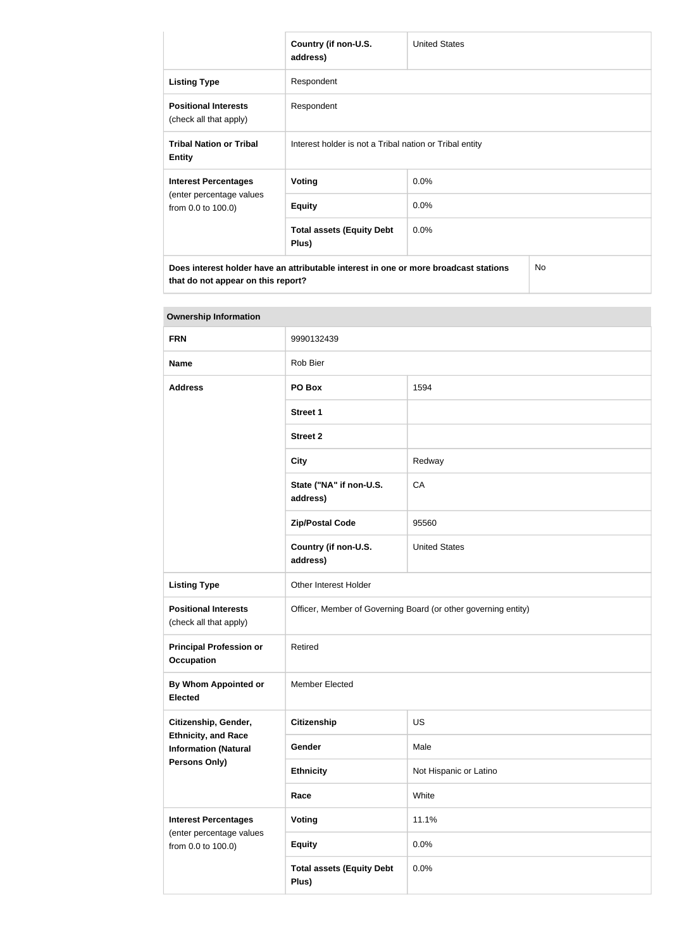|                                                                                                                                         | Country (if non-U.S.<br>address)                        | <b>United States</b> |  |
|-----------------------------------------------------------------------------------------------------------------------------------------|---------------------------------------------------------|----------------------|--|
| <b>Listing Type</b>                                                                                                                     | Respondent                                              |                      |  |
| <b>Positional Interests</b><br>(check all that apply)                                                                                   | Respondent                                              |                      |  |
| <b>Tribal Nation or Tribal</b><br><b>Entity</b>                                                                                         | Interest holder is not a Tribal nation or Tribal entity |                      |  |
| <b>Interest Percentages</b>                                                                                                             | Voting                                                  | 0.0%                 |  |
| (enter percentage values<br>from 0.0 to 100.0)                                                                                          | <b>Equity</b>                                           | 0.0%                 |  |
|                                                                                                                                         | <b>Total assets (Equity Debt</b><br>Plus)               | $0.0\%$              |  |
| <b>No</b><br>Does interest holder have an attributable interest in one or more broadcast stations<br>that do not appear on this report? |                                                         |                      |  |

| <b>Ownership Information</b>                              |                                                                |                        |  |
|-----------------------------------------------------------|----------------------------------------------------------------|------------------------|--|
| <b>FRN</b>                                                | 9990132439                                                     |                        |  |
| <b>Name</b>                                               | Rob Bier                                                       |                        |  |
| <b>Address</b>                                            | PO Box                                                         | 1594                   |  |
|                                                           | <b>Street 1</b>                                                |                        |  |
|                                                           | <b>Street 2</b>                                                |                        |  |
|                                                           | <b>City</b>                                                    | Redway                 |  |
|                                                           | State ("NA" if non-U.S.<br>address)                            | CA                     |  |
|                                                           | <b>Zip/Postal Code</b>                                         | 95560                  |  |
|                                                           | Country (if non-U.S.<br>address)                               | <b>United States</b>   |  |
| <b>Listing Type</b>                                       | Other Interest Holder                                          |                        |  |
| <b>Positional Interests</b><br>(check all that apply)     | Officer, Member of Governing Board (or other governing entity) |                        |  |
| <b>Principal Profession or</b><br><b>Occupation</b>       | Retired                                                        |                        |  |
| By Whom Appointed or<br><b>Elected</b>                    | <b>Member Elected</b>                                          |                        |  |
| Citizenship, Gender,                                      | <b>Citizenship</b>                                             | <b>US</b>              |  |
| <b>Ethnicity, and Race</b><br><b>Information (Natural</b> | Gender                                                         | Male                   |  |
| Persons Only)                                             | <b>Ethnicity</b>                                               | Not Hispanic or Latino |  |
|                                                           | Race                                                           | White                  |  |
| <b>Interest Percentages</b>                               | <b>Voting</b>                                                  | 11.1%                  |  |
| (enter percentage values<br>from 0.0 to 100.0)            | <b>Equity</b>                                                  | 0.0%                   |  |
|                                                           | <b>Total assets (Equity Debt</b><br>Plus)                      | 0.0%                   |  |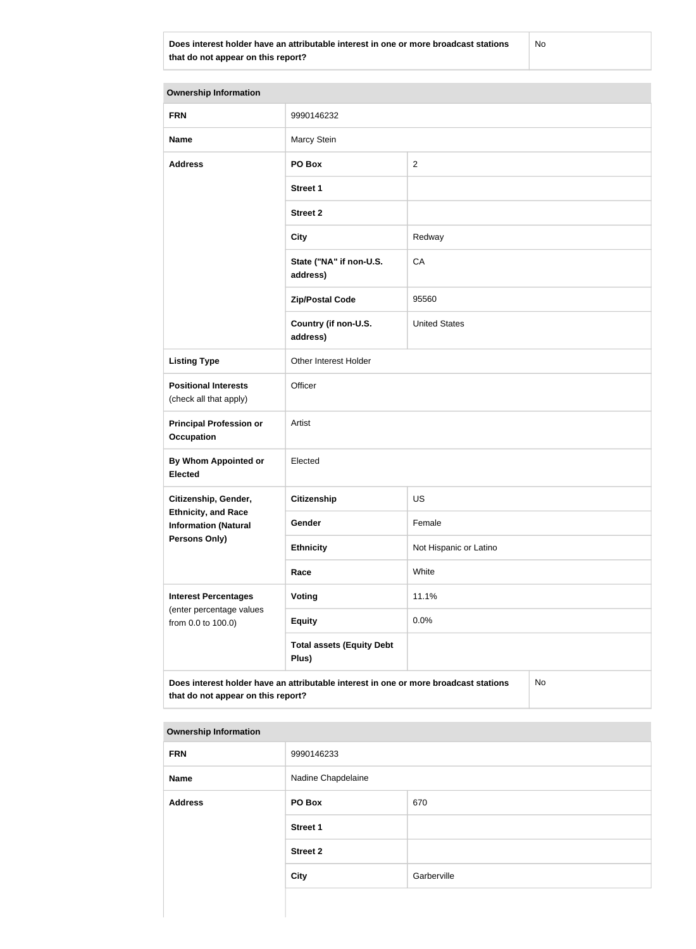**Does interest holder have an attributable interest in one or more broadcast stations that do not appear on this report?**

No

| <b>Ownership Information</b>                                                                                                     |                                           |                        |  |  |
|----------------------------------------------------------------------------------------------------------------------------------|-------------------------------------------|------------------------|--|--|
| <b>FRN</b>                                                                                                                       | 9990146232                                |                        |  |  |
| <b>Name</b>                                                                                                                      | Marcy Stein                               |                        |  |  |
| <b>Address</b>                                                                                                                   | PO Box                                    | $\overline{2}$         |  |  |
|                                                                                                                                  | <b>Street 1</b>                           |                        |  |  |
|                                                                                                                                  | <b>Street 2</b>                           |                        |  |  |
|                                                                                                                                  | <b>City</b>                               | Redway                 |  |  |
|                                                                                                                                  | State ("NA" if non-U.S.<br>address)       | CA                     |  |  |
|                                                                                                                                  | <b>Zip/Postal Code</b>                    | 95560                  |  |  |
|                                                                                                                                  | Country (if non-U.S.<br>address)          | <b>United States</b>   |  |  |
| <b>Listing Type</b>                                                                                                              | Other Interest Holder                     |                        |  |  |
| <b>Positional Interests</b><br>(check all that apply)                                                                            | Officer                                   |                        |  |  |
| <b>Principal Profession or</b><br><b>Occupation</b>                                                                              | Artist                                    |                        |  |  |
| <b>By Whom Appointed or</b><br><b>Elected</b>                                                                                    | Elected                                   |                        |  |  |
| Citizenship, Gender,                                                                                                             | Citizenship                               | US                     |  |  |
| <b>Ethnicity, and Race</b><br><b>Information (Natural</b>                                                                        | Gender                                    | Female                 |  |  |
| <b>Persons Only)</b>                                                                                                             | <b>Ethnicity</b>                          | Not Hispanic or Latino |  |  |
|                                                                                                                                  | Race                                      | White                  |  |  |
| <b>Interest Percentages</b><br>(enter percentage values                                                                          | Voting                                    | 11.1%                  |  |  |
| from 0.0 to 100.0)                                                                                                               | <b>Equity</b>                             | 0.0%                   |  |  |
|                                                                                                                                  | <b>Total assets (Equity Debt</b><br>Plus) |                        |  |  |
| Does interest holder have an attributable interest in one or more broadcast stations<br>No<br>that do not appear on this report? |                                           |                        |  |  |

#### **Ownership Information**

| <b>FRN</b>     | 9990146233         |             |  |
|----------------|--------------------|-------------|--|
| <b>Name</b>    | Nadine Chapdelaine |             |  |
| <b>Address</b> | PO Box             | 670         |  |
|                | <b>Street 1</b>    |             |  |
|                | <b>Street 2</b>    |             |  |
|                | <b>City</b>        | Garberville |  |
|                |                    |             |  |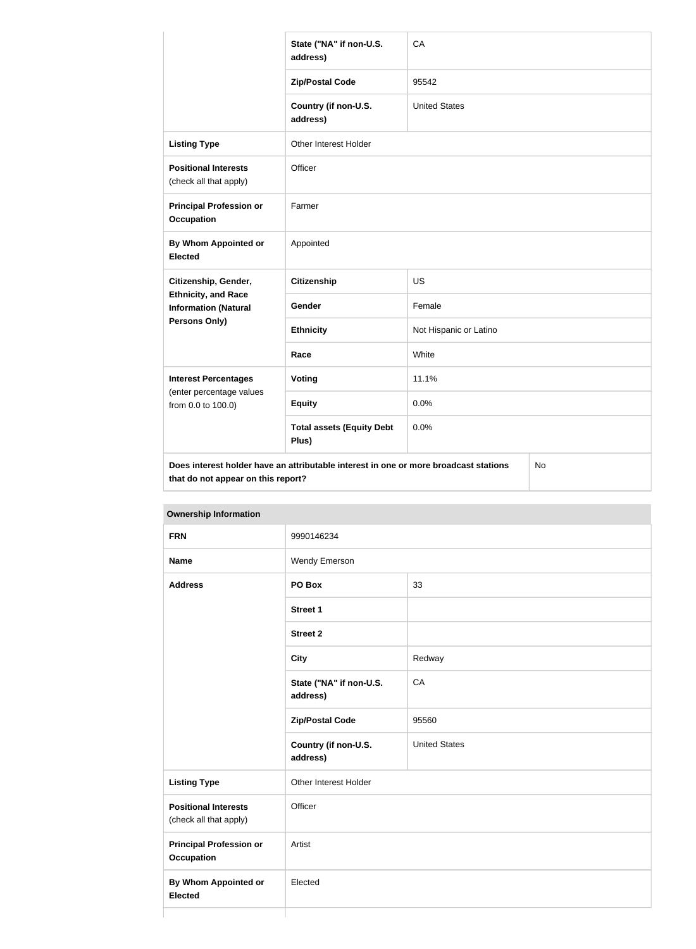|                                                                                                                                  | State ("NA" if non-U.S.<br>address)       | CA                     |  |
|----------------------------------------------------------------------------------------------------------------------------------|-------------------------------------------|------------------------|--|
|                                                                                                                                  | <b>Zip/Postal Code</b>                    | 95542                  |  |
|                                                                                                                                  | Country (if non-U.S.<br>address)          | <b>United States</b>   |  |
| <b>Listing Type</b>                                                                                                              | Other Interest Holder                     |                        |  |
| <b>Positional Interests</b><br>(check all that apply)                                                                            | Officer                                   |                        |  |
| <b>Principal Profession or</b><br><b>Occupation</b>                                                                              | Farmer                                    |                        |  |
| By Whom Appointed or<br><b>Elected</b>                                                                                           | Appointed                                 |                        |  |
| Citizenship, Gender,                                                                                                             | <b>Citizenship</b>                        | <b>US</b>              |  |
| <b>Ethnicity, and Race</b><br><b>Information (Natural</b>                                                                        | Gender                                    | Female                 |  |
| Persons Only)                                                                                                                    | <b>Ethnicity</b>                          | Not Hispanic or Latino |  |
|                                                                                                                                  | Race                                      | White                  |  |
| <b>Interest Percentages</b>                                                                                                      | <b>Voting</b>                             | 11.1%                  |  |
| (enter percentage values<br>from 0.0 to 100.0)                                                                                   | <b>Equity</b>                             | 0.0%                   |  |
|                                                                                                                                  | <b>Total assets (Equity Debt</b><br>Plus) | 0.0%                   |  |
| Does interest holder have an attributable interest in one or more broadcast stations<br>No<br>that do not appear on this report? |                                           |                        |  |

| <b>FRN</b>                                            | 9990146234                          |                      |
|-------------------------------------------------------|-------------------------------------|----------------------|
| <b>Name</b>                                           | Wendy Emerson                       |                      |
| <b>Address</b>                                        | PO Box                              | 33                   |
|                                                       | <b>Street 1</b>                     |                      |
|                                                       | <b>Street 2</b>                     |                      |
|                                                       | <b>City</b>                         | Redway               |
|                                                       | State ("NA" if non-U.S.<br>address) | CA                   |
|                                                       | <b>Zip/Postal Code</b>              | 95560                |
|                                                       | Country (if non-U.S.<br>address)    | <b>United States</b> |
| <b>Listing Type</b>                                   | Other Interest Holder               |                      |
| <b>Positional Interests</b><br>(check all that apply) | Officer                             |                      |
| <b>Principal Profession or</b><br><b>Occupation</b>   | Artist                              |                      |
| <b>By Whom Appointed or</b><br><b>Elected</b>         | Elected                             |                      |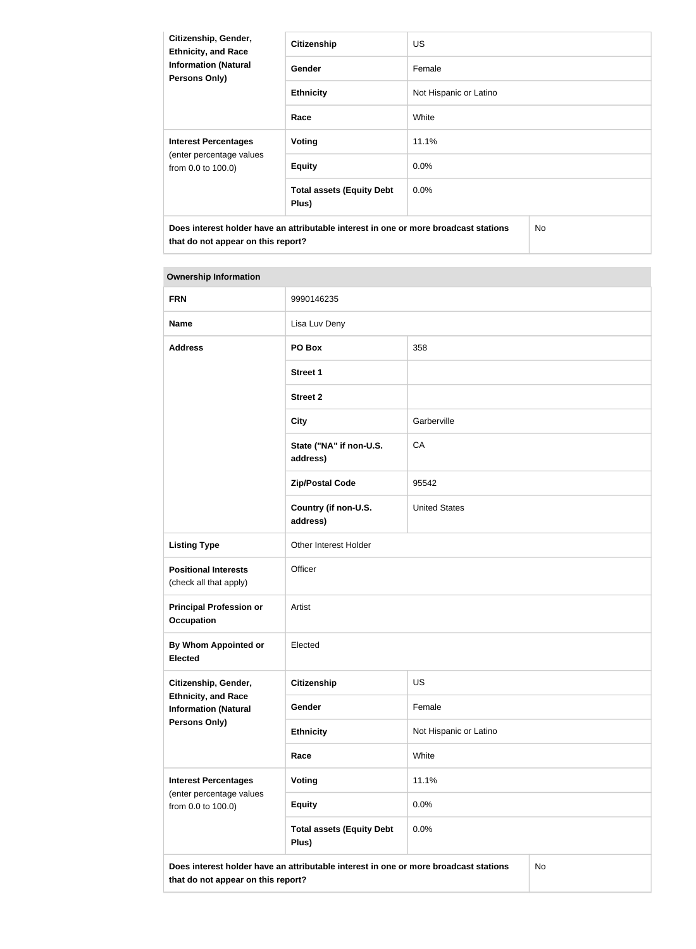| Citizenship, Gender,<br><b>Ethnicity, and Race</b><br><b>Information (Natural</b><br><b>Persons Only)</b> | <b>Citizenship</b>                                                                   | US.                    |  |
|-----------------------------------------------------------------------------------------------------------|--------------------------------------------------------------------------------------|------------------------|--|
|                                                                                                           | <b>Gender</b>                                                                        | Female                 |  |
|                                                                                                           | <b>Ethnicity</b>                                                                     | Not Hispanic or Latino |  |
|                                                                                                           | Race                                                                                 | White                  |  |
| <b>Interest Percentages</b><br>(enter percentage values<br>from 0.0 to 100.0)                             | Voting                                                                               | 11.1%                  |  |
|                                                                                                           | <b>Equity</b>                                                                        | 0.0%                   |  |
|                                                                                                           | <b>Total assets (Equity Debt</b><br>Plus)                                            | $0.0\%$                |  |
| that do not appear on this report?                                                                        | Does interest holder have an attributable interest in one or more broadcast stations | No.                    |  |

# **Ownership Information**

| <b>FRN</b>                                                | 9990146235                                                                           |                        |    |
|-----------------------------------------------------------|--------------------------------------------------------------------------------------|------------------------|----|
| <b>Name</b>                                               | Lisa Luv Deny                                                                        |                        |    |
| <b>Address</b>                                            | PO Box                                                                               | 358                    |    |
|                                                           | <b>Street 1</b>                                                                      |                        |    |
|                                                           | <b>Street 2</b>                                                                      |                        |    |
|                                                           | <b>City</b>                                                                          | Garberville            |    |
|                                                           | State ("NA" if non-U.S.<br>address)                                                  | CA                     |    |
|                                                           | <b>Zip/Postal Code</b>                                                               | 95542                  |    |
|                                                           | Country (if non-U.S.<br>address)                                                     | <b>United States</b>   |    |
| <b>Listing Type</b>                                       | Other Interest Holder                                                                |                        |    |
| <b>Positional Interests</b><br>(check all that apply)     | Officer                                                                              |                        |    |
| <b>Principal Profession or</b><br><b>Occupation</b>       | Artist                                                                               |                        |    |
| By Whom Appointed or<br><b>Elected</b>                    | Elected                                                                              |                        |    |
| Citizenship, Gender,                                      | <b>Citizenship</b>                                                                   | US                     |    |
| <b>Ethnicity, and Race</b><br><b>Information (Natural</b> | Gender                                                                               | Female                 |    |
| Persons Only)                                             | <b>Ethnicity</b>                                                                     | Not Hispanic or Latino |    |
|                                                           | Race                                                                                 | White                  |    |
| <b>Interest Percentages</b>                               | <b>Voting</b>                                                                        | 11.1%                  |    |
| (enter percentage values<br>from 0.0 to 100.0)            | <b>Equity</b>                                                                        | 0.0%                   |    |
|                                                           | <b>Total assets (Equity Debt</b><br>Plus)                                            | 0.0%                   |    |
| that do not appear on this report?                        | Does interest holder have an attributable interest in one or more broadcast stations |                        | No |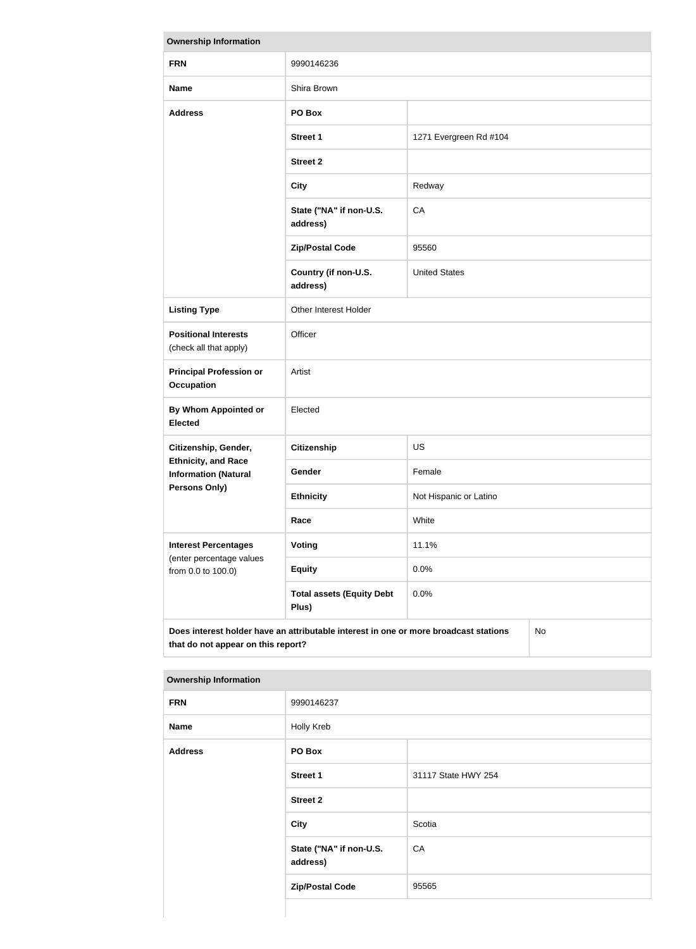| <b>Ownership Information</b>                              |                                                                                      |                        |    |
|-----------------------------------------------------------|--------------------------------------------------------------------------------------|------------------------|----|
| <b>FRN</b>                                                | 9990146236                                                                           |                        |    |
| <b>Name</b>                                               | Shira Brown                                                                          |                        |    |
| <b>Address</b>                                            | PO Box                                                                               |                        |    |
|                                                           | <b>Street 1</b>                                                                      | 1271 Evergreen Rd #104 |    |
|                                                           | <b>Street 2</b>                                                                      |                        |    |
|                                                           | <b>City</b>                                                                          | Redway                 |    |
|                                                           | State ("NA" if non-U.S.<br>address)                                                  | CA                     |    |
|                                                           | <b>Zip/Postal Code</b>                                                               | 95560                  |    |
|                                                           | Country (if non-U.S.<br>address)                                                     | <b>United States</b>   |    |
| <b>Listing Type</b>                                       | Other Interest Holder                                                                |                        |    |
| <b>Positional Interests</b><br>(check all that apply)     | Officer                                                                              |                        |    |
| <b>Principal Profession or</b><br><b>Occupation</b>       | Artist                                                                               |                        |    |
| <b>By Whom Appointed or</b><br><b>Elected</b>             | Elected                                                                              |                        |    |
| Citizenship, Gender,                                      | Citizenship                                                                          | US                     |    |
| <b>Ethnicity, and Race</b><br><b>Information (Natural</b> | Gender                                                                               | Female                 |    |
| <b>Persons Only)</b>                                      | <b>Ethnicity</b>                                                                     | Not Hispanic or Latino |    |
|                                                           | Race                                                                                 | White                  |    |
| <b>Interest Percentages</b>                               | Voting                                                                               | 11.1%                  |    |
| (enter percentage values<br>from 0.0 to 100.0)            | <b>Equity</b>                                                                        | 0.0%                   |    |
|                                                           | <b>Total assets (Equity Debt</b><br>Plus)                                            | 0.0%                   |    |
| that do not appear on this report?                        | Does interest holder have an attributable interest in one or more broadcast stations |                        | No |

| <b>FRN</b>     | 9990146237                          |                     |
|----------------|-------------------------------------|---------------------|
| <b>Name</b>    | Holly Kreb                          |                     |
| <b>Address</b> | PO Box                              |                     |
|                | Street 1                            | 31117 State HWY 254 |
|                | <b>Street 2</b>                     |                     |
|                | <b>City</b>                         | Scotia              |
|                | State ("NA" if non-U.S.<br>address) | CA                  |
|                | <b>Zip/Postal Code</b>              | 95565               |
|                |                                     |                     |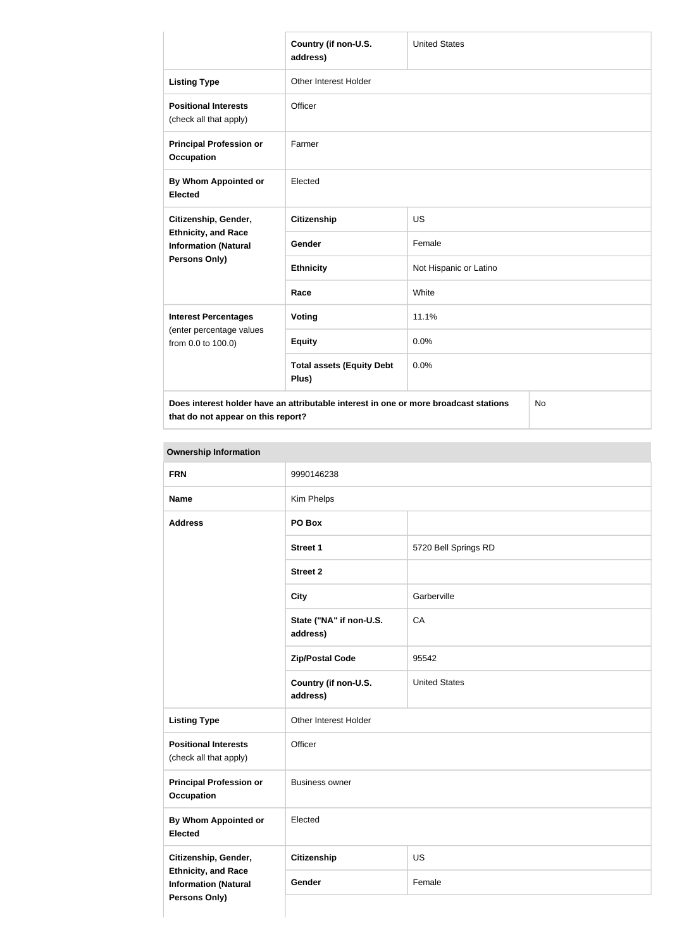|                                                                                                           | Country (if non-U.S.<br>address)                                                     | <b>United States</b>   |  |
|-----------------------------------------------------------------------------------------------------------|--------------------------------------------------------------------------------------|------------------------|--|
| <b>Listing Type</b>                                                                                       | Other Interest Holder                                                                |                        |  |
| <b>Positional Interests</b><br>(check all that apply)                                                     | Officer                                                                              |                        |  |
| <b>Principal Profession or</b><br><b>Occupation</b>                                                       | Farmer                                                                               |                        |  |
| By Whom Appointed or<br><b>Elected</b>                                                                    | Elected                                                                              |                        |  |
| Citizenship, Gender,<br><b>Ethnicity, and Race</b><br><b>Information (Natural</b><br><b>Persons Only)</b> | <b>Citizenship</b>                                                                   | <b>US</b>              |  |
|                                                                                                           | Gender                                                                               | Female                 |  |
|                                                                                                           | <b>Ethnicity</b>                                                                     | Not Hispanic or Latino |  |
|                                                                                                           | Race                                                                                 | White                  |  |
| <b>Interest Percentages</b>                                                                               | Voting                                                                               | 11.1%                  |  |
| (enter percentage values<br>from 0.0 to 100.0)                                                            | <b>Equity</b>                                                                        | 0.0%                   |  |
|                                                                                                           | <b>Total assets (Equity Debt</b><br>Plus)                                            | 0.0%                   |  |
|                                                                                                           | Does interest holder have an attributable interest in one or more broadcast stations | No                     |  |

**that do not appear on this report?**

No

| <b>FRN</b>                                                                 | 9990146238                          |                      |
|----------------------------------------------------------------------------|-------------------------------------|----------------------|
| <b>Name</b>                                                                | Kim Phelps                          |                      |
| <b>Address</b>                                                             | PO Box                              |                      |
|                                                                            | <b>Street 1</b>                     | 5720 Bell Springs RD |
|                                                                            | <b>Street 2</b>                     |                      |
|                                                                            | <b>City</b>                         | Garberville          |
|                                                                            | State ("NA" if non-U.S.<br>address) | CA                   |
|                                                                            | <b>Zip/Postal Code</b>              | 95542                |
|                                                                            | Country (if non-U.S.<br>address)    | <b>United States</b> |
| <b>Listing Type</b>                                                        | Other Interest Holder               |                      |
| <b>Positional Interests</b><br>(check all that apply)                      | Officer                             |                      |
| <b>Principal Profession or</b><br><b>Occupation</b>                        | <b>Business owner</b>               |                      |
| <b>By Whom Appointed or</b><br><b>Elected</b>                              | Elected                             |                      |
| Citizenship, Gender,                                                       | <b>Citizenship</b>                  | US                   |
| <b>Ethnicity, and Race</b><br><b>Information (Natural</b><br>Persons Only) | Gender                              | Female               |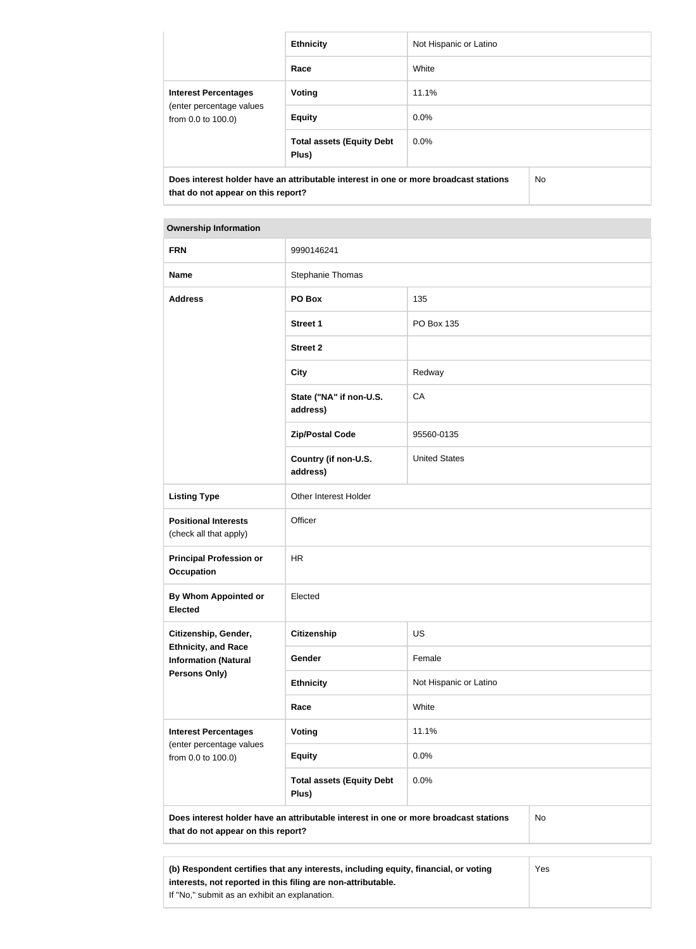|                                                                               | <b>Ethnicity</b>                                                                     | Not Hispanic or Latino |     |
|-------------------------------------------------------------------------------|--------------------------------------------------------------------------------------|------------------------|-----|
|                                                                               | Race                                                                                 | White                  |     |
| <b>Interest Percentages</b><br>(enter percentage values<br>from 0.0 to 100.0) | <b>Voting</b>                                                                        | 11.1%                  |     |
|                                                                               | <b>Equity</b>                                                                        | $0.0\%$                |     |
|                                                                               | <b>Total assets (Equity Debt</b><br>Plus)                                            | $0.0\%$                |     |
| that do not appear on this report?                                            | Does interest holder have an attributable interest in one or more broadcast stations |                        | No. |

**Ownership Information**

| <b>FRN</b>                                                                                                                                                 | 9990146241                                |                        |  |
|------------------------------------------------------------------------------------------------------------------------------------------------------------|-------------------------------------------|------------------------|--|
| <b>Name</b>                                                                                                                                                | Stephanie Thomas                          |                        |  |
| <b>Address</b>                                                                                                                                             | PO Box                                    | 135                    |  |
|                                                                                                                                                            | <b>Street 1</b>                           | PO Box 135             |  |
|                                                                                                                                                            | <b>Street 2</b>                           |                        |  |
|                                                                                                                                                            | <b>City</b>                               | Redway                 |  |
|                                                                                                                                                            | State ("NA" if non-U.S.<br>address)       | CA                     |  |
|                                                                                                                                                            | <b>Zip/Postal Code</b>                    | 95560-0135             |  |
|                                                                                                                                                            | Country (if non-U.S.<br>address)          | <b>United States</b>   |  |
| <b>Listing Type</b>                                                                                                                                        | Other Interest Holder                     |                        |  |
| <b>Positional Interests</b><br>(check all that apply)                                                                                                      | Officer                                   |                        |  |
| <b>Principal Profession or</b><br><b>Occupation</b>                                                                                                        | <b>HR</b>                                 |                        |  |
| <b>By Whom Appointed or</b><br><b>Elected</b>                                                                                                              | Elected                                   |                        |  |
| Citizenship, Gender,                                                                                                                                       | <b>Citizenship</b>                        | US                     |  |
| <b>Ethnicity, and Race</b><br><b>Information (Natural</b>                                                                                                  | Gender                                    | Female                 |  |
| <b>Persons Only)</b>                                                                                                                                       | <b>Ethnicity</b>                          | Not Hispanic or Latino |  |
|                                                                                                                                                            | Race                                      | White                  |  |
| <b>Interest Percentages</b>                                                                                                                                | <b>Voting</b>                             | 11.1%                  |  |
| (enter percentage values<br>from 0.0 to 100.0)                                                                                                             | <b>Equity</b>                             | 0.0%                   |  |
|                                                                                                                                                            | <b>Total assets (Equity Debt</b><br>Plus) | 0.0%                   |  |
| Does interest holder have an attributable interest in one or more broadcast stations<br>No<br>that do not appear on this report?                           |                                           |                        |  |
|                                                                                                                                                            |                                           |                        |  |
| (b) Respondent certifies that any interests, including equity, financial, or voting<br>Yes<br>interests, not reported in this filing are non-attributable. |                                           |                        |  |

If "No," submit as an exhibit an explanation.